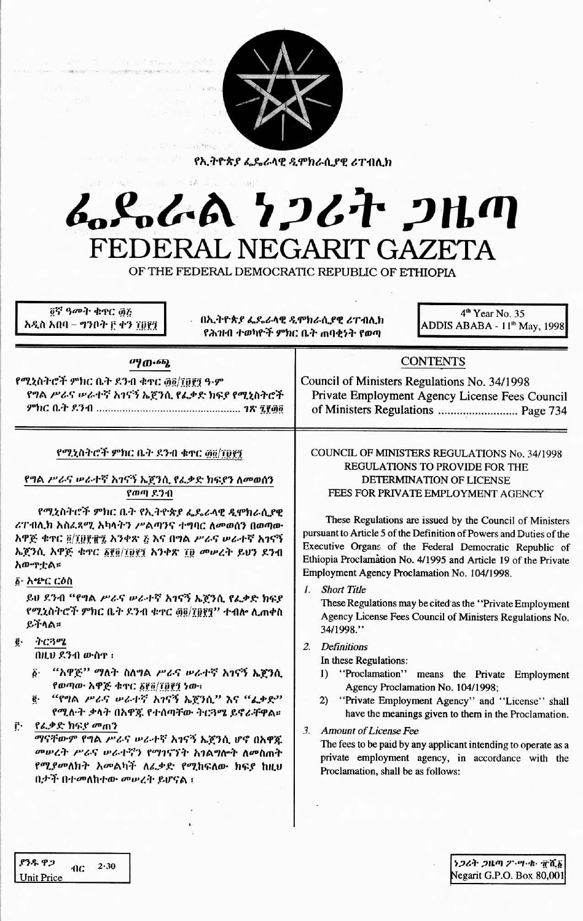

የኢትዮጵያ ፌዴራላዊ ዲሞክራሲያዊ ሪፐብሊክ

# $\label{eq:2.1} \frac{1}{2}\left( \frac{d}{dt}-\frac{1}{2}\right) \frac{d}{dt}\left( \frac{d}{dt}\right) ^{2}$ 进一路 んとんめ ケンムヤ ンルの FEDERAL NEGARIT GAZETA

OF THE FEDERAL DEMOCRATIC REPUBLIC OF ETHIOPIA

፬ኛ ዓመት ቁኖር ፴፭ አዲስ አበባ – ግንቦት ፫ ቀን ፲፱፻፺

. በኢትዮጵያ ፌዴራላዊ ዲሞክራሲያዊ ሪፐብሊክ የሕዝብ ተወካዮች ምክር ቤት ጠባቂነት የወጣ

4<sup>th</sup> Year No. 35 ADDIS ABABA - 11<sup>th</sup> May, 1998

| $\sigma$ <i>y</i> $\sigma$ -6 <i>b</i> <sub><math>k</math></sub>                                                                                                                                                                                                                                                                                                                                                                                                                                                                                                                                                                                                                                                                                               | <b>CONTENTS</b>                                                                                                                                                                                                                                                                                                                                                                                                                                                                                                                                                                                                                                                                                                                                                                                                                                                                                                                                                                                                                                                                          |  |
|----------------------------------------------------------------------------------------------------------------------------------------------------------------------------------------------------------------------------------------------------------------------------------------------------------------------------------------------------------------------------------------------------------------------------------------------------------------------------------------------------------------------------------------------------------------------------------------------------------------------------------------------------------------------------------------------------------------------------------------------------------------|------------------------------------------------------------------------------------------------------------------------------------------------------------------------------------------------------------------------------------------------------------------------------------------------------------------------------------------------------------------------------------------------------------------------------------------------------------------------------------------------------------------------------------------------------------------------------------------------------------------------------------------------------------------------------------------------------------------------------------------------------------------------------------------------------------------------------------------------------------------------------------------------------------------------------------------------------------------------------------------------------------------------------------------------------------------------------------------|--|
| የሚኒስትሮች ምክር ቤት ደንብ ቁዋር ፴፬/፲፱፻፺ ዓ·ም<br>የግል ሥራና ሠራተኛ አገናኝ ኤጀንሲ የፌቃድ ክፍያ የሚኒስትሮች                                                                                                                                                                                                                                                                                                                                                                                                                                                                                                                                                                                                                                                                                  | Council of Ministers Regulations No. 34/1998<br>Private Employment Agency License Fees Council<br>of Ministers Regulations  Page 734                                                                                                                                                                                                                                                                                                                                                                                                                                                                                                                                                                                                                                                                                                                                                                                                                                                                                                                                                     |  |
| የሚኒስትሮች ምክር ቤት ደንብ ቁተር ፴፬/፲፱፻፺<br>የግል ሥራና ሥራተኛ አገናኝ ኤጀንሲ የፌቃድ ክፍያን ለመወሰን<br>የወጣ ደንብ<br>የሚኒስትሮች ምክር ቤት የኢትዮጵያ ፌዴራላዊ ዲሞክራሲያዊ<br>ሪፐብሊክ አስፈጻሚ አካላትን ሥልጣንና ተግባር ለመወሰን በወጣው<br>አዋጅ ቁተር ፬/፲፬፻፹፯ አንቀጽ ፩ እና በግል ሥራና ሥራተኛ አገናኝ<br>ኤጀንሲ አዋጅ ቁተር ፩፻፬/፲፱፻፺ አንቀጽ ፲፬ መሠረት ይህን ደንብ<br>አውዋቷል።<br>፩· አጭር ርዕስ<br>ይህ ደንብ "የግል ሥራና ሥራተኛ አገናኝ ኤጀንሲ የፌቃድ ክፍያ<br>የሚኒስትሮች ምክር ቤት ደንብ ቁተር ፴፬/፲፱፻፺'' ተብሎ ሊጠቀስ<br>ይችላል።<br>ትርጓሜ<br>ę.<br>በዚህ ደንብ ውስዋ ፡<br>"አዋጅ" ማለት ስለግል ሥራና ሥራተኛ አገናኝ ኤጀንሲ<br>ğ.<br>የወጣው አዋጅ ቁጥር ፩፻፬/፲፬፻፺ ነው።<br>"የግል <i>ሥራና ሠራተኛ አገ</i> ናኝ ኤጀንሲ" እና "ፌቃድ"<br>ë.<br>የሚሉት ቃላት በአዋጃ የተሰጣቸው ትርጓሜ ይኖራቸዋል።<br>የፌቃድ ክፍያ መጠን<br>ŕ٠<br>ማናቸውም የግል ሥራና ሥራተኛ አገናኝ ኤጀንሲ ሆኖ በአዋጁ<br>መሠረት ሥራና ሠራተኛን የማገናኘት አገልግሎት ለመስጠት<br>የሚያመለክት አመልካት ለፌቃድ የሚከፍለው ክፍያ ከዚህ<br>በታች በተመለከተው መሠረት ይሆናል ፣ | COUNCIL OF MINISTERS REGULATIONS No. 34/1998<br>REGULATIONS TO PROVIDE FOR THE<br>DETERMINATION OF LICENSE<br>FEES FOR PRIVATE EMPLOYMENT AGENCY<br>These Regulations are issued by the Council of Ministers<br>pursuant to Article 5 of the Definition of Powers and Duties of the<br>Executive Organs of the Federal Democratic Republic of<br>Ethiopia Proclamation No. 4/1995 and Article 19 of the Private<br>Employment Agency Proclamation No. 104/1998.<br>1. Short Title<br>These Regulations may be cited as the "Private Employment"<br>Agency License Fees Council of Ministers Regulations No.<br>34/1998."<br><b>Definitions</b><br>2.<br>In these Regulations:<br>1) "Proclamation"<br>means the Private Employment<br>Agency Proclamation No. 104/1998;<br>2) "Private Employment Agency" and "License" shall<br>have the meanings given to them in the Proclamation.<br><b>Amount of License Fee</b><br>3.<br>The fees to be paid by any applicant intending to operate as a<br>private employment agency, in accordance with the<br>Proclamation, shall be as follows: |  |